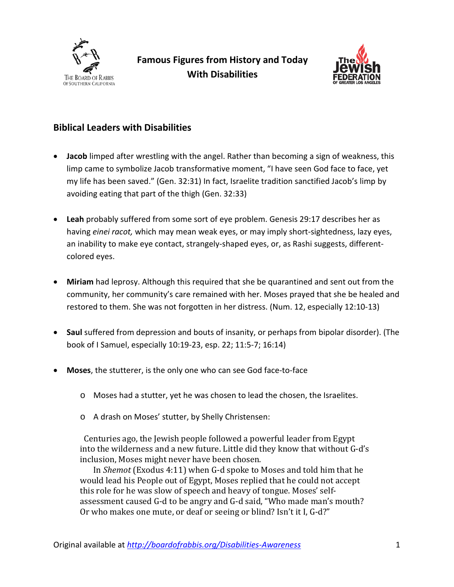



## **Biblical Leaders with Disabilities**

- **Jacob** limped after wrestling with the angel. Rather than becoming a sign of weakness, this limp came to symbolize Jacob transformative moment, "I have seen God face to face, yet my life has been saved." (Gen. 32:31) In fact, Israelite tradition sanctified Jacob's limp by avoiding eating that part of the thigh (Gen. 32:33)
- **Leah** probably suffered from some sort of eye problem. Genesis 29:17 describes her as having *einei racot,* which may mean weak eyes, or may imply short-sightedness, lazy eyes, an inability to make eye contact, strangely-shaped eyes, or, as Rashi suggests, differentcolored eyes.
- **Miriam** had leprosy. Although this required that she be quarantined and sent out from the community, her community's care remained with her. Moses prayed that she be healed and restored to them. She was not forgotten in her distress. (Num. 12, especially 12:10-13)
- **Saul** suffered from depression and bouts of insanity, or perhaps from bipolar disorder). (The book of I Samuel, especially 10:19-23, esp. 22; 11:5-7; 16:14)
- **Moses**, the stutterer, is the only one who can see God face-to-face
	- o Moses had a stutter, yet he was chosen to lead the chosen, the Israelites.
	- o A drash on Moses' stutter, by Shelly Christensen:

 Centuries ago, the Jewish people followed a powerful leader from Egypt into the wilderness and a new future. Little did they know that without G-d's inclusion, Moses might never have been chosen.

In *Shemot* (Exodus 4:11) when G-d spoke to Moses and told him that he would lead his People out of Egypt, Moses replied that he could not accept this role for he was slow of speech and heavy of tongue. Moses' selfassessment caused G-d to be angry and G-d said, "Who made man's mouth? Or who makes one mute, or deaf or seeing or blind? Isn't it I, G-d?"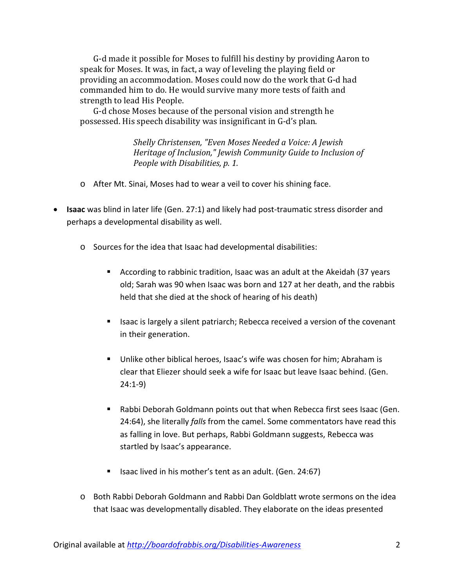G-d made it possible for Moses to fulfill his destiny by providing Aaron to speak for Moses. It was, in fact, a way of leveling the playing field or providing an accommodation. Moses could now do the work that G-d had commanded him to do. He would survive many more tests of faith and strength to lead His People.

G-d chose Moses because of the personal vision and strength he possessed. His speech disability was insignificant in G-d's plan.

> *Shelly Christensen, "Even Moses Needed a Voice: A Jewish Heritage of Inclusion," Jewish Community Guide to Inclusion of People with Disabilities, p. 1.*

- o After Mt. Sinai, Moses had to wear a veil to cover his shining face.
- **Isaac** was blind in later life (Gen. 27:1) and likely had post-traumatic stress disorder and perhaps a developmental disability as well.
	- o Sources for the idea that Isaac had developmental disabilities:
		- According to rabbinic tradition, Isaac was an adult at the Akeidah (37 years old; Sarah was 90 when Isaac was born and 127 at her death, and the rabbis held that she died at the shock of hearing of his death)
		- **If** Isaac is largely a silent patriarch; Rebecca received a version of the covenant in their generation.
		- Unlike other biblical heroes, Isaac's wife was chosen for him; Abraham is clear that Eliezer should seek a wife for Isaac but leave Isaac behind. (Gen. 24:1-9)
		- Rabbi Deborah Goldmann points out that when Rebecca first sees Isaac (Gen. 24:64), she literally *falls* from the camel. Some commentators have read this as falling in love. But perhaps, Rabbi Goldmann suggests, Rebecca was startled by Isaac's appearance.
		- Isaac lived in his mother's tent as an adult. (Gen. 24:67)
	- o Both Rabbi Deborah Goldmann and Rabbi Dan Goldblatt wrote sermons on the idea that Isaac was developmentally disabled. They elaborate on the ideas presented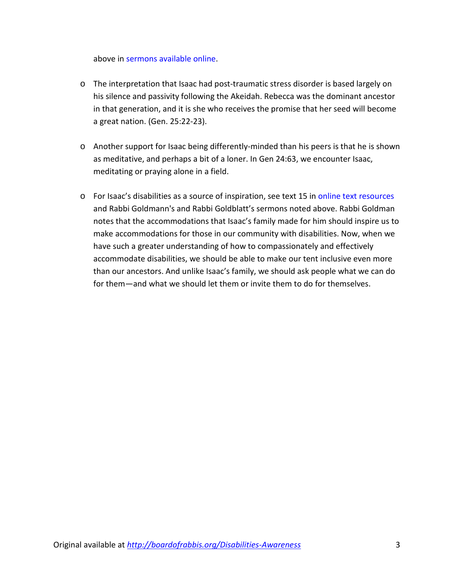above in [sermons available online.](http://boardofrabbis.org/Sermons-on-Disabilities)

- o The interpretation that Isaac had post-traumatic stress disorder is based largely on his silence and passivity following the Akeidah. Rebecca was the dominant ancestor in that generation, and it is she who receives the promise that her seed will become a great nation. (Gen. 25:22-23).
- o Another support for Isaac being differently-minded than his peers is that he is shown as meditative, and perhaps a bit of a loner. In Gen 24:63, we encounter Isaac, meditating or praying alone in a field.
- o For Isaac's disabilities as a source of inspiration, see text 15 in [online text resources](http://boardofrabbis.org/files/Jewish%20Text%20Resources.pdf) and Rabbi Goldmann's and Rabbi Goldblatt's sermons noted above. Rabbi Goldman notes that the accommodations that Isaac's family made for him should inspire us to make accommodations for those in our community with disabilities. Now, when we have such a greater understanding of how to compassionately and effectively accommodate disabilities, we should be able to make our tent inclusive even more than our ancestors. And unlike Isaac's family, we should ask people what we can do for them—and what we should let them or invite them to do for themselves.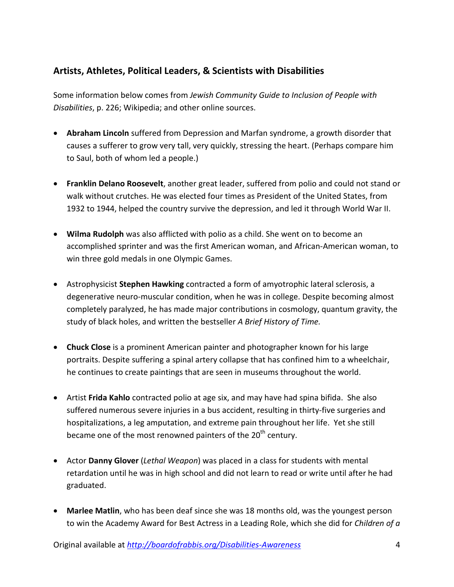## **Artists, Athletes, Political Leaders, & Scientists with Disabilities**

Some information below comes from *Jewish Community Guide to Inclusion of People with Disabilities*, p. 226; Wikipedia; and other online sources.

- **Abraham Lincoln** suffered from Depression and Marfan syndrome, a growth disorder that causes a sufferer to grow very tall, very quickly, stressing the heart. (Perhaps compare him to Saul, both of whom led a people.)
- **Franklin Delano Roosevelt**, another great leader, suffered from polio and could not stand or walk without crutches. He was elected four times as President of the United States, from 1932 to 1944, helped the country survive the depression, and led it through World War II.
- **Wilma Rudolph** was also afflicted with polio as a child. She went on to become an accomplished sprinter and was the first American woman, and African-American woman, to win three gold medals in one Olympic Games.
- Astrophysicist **Stephen Hawking** contracted a form of amyotrophic lateral sclerosis, a degenerative neuro-muscular condition, when he was in college. Despite becoming almost completely paralyzed, he has made major contributions in cosmology, quantum gravity, the study of black holes, and written the bestseller *A Brief History of Time.*
- **Chuck Close** is a prominent American painter and photographer known for his large portraits. Despite suffering a spinal artery collapse that has confined him to a wheelchair, he continues to create paintings that are seen in museums throughout the world.
- Artist **Frida Kahlo** contracted polio at age six, and may have had spina bifida. She also suffered numerous severe injuries in a bus accident, resulting in thirty-five surgeries and hospitalizations, a leg amputation, and extreme pain throughout her life. Yet she still became one of the most renowned painters of the 20<sup>th</sup> century.
- Actor **Danny Glover** (*Lethal Weapon*) was placed in a class for students with mental retardation until he was in high school and did not learn to read or write until after he had graduated.
- **Marlee Matlin**, who has been deaf since she was 18 months old, was the youngest person to win the Academy Award for Best Actress in a Leading Role, which she did for *Children of a*